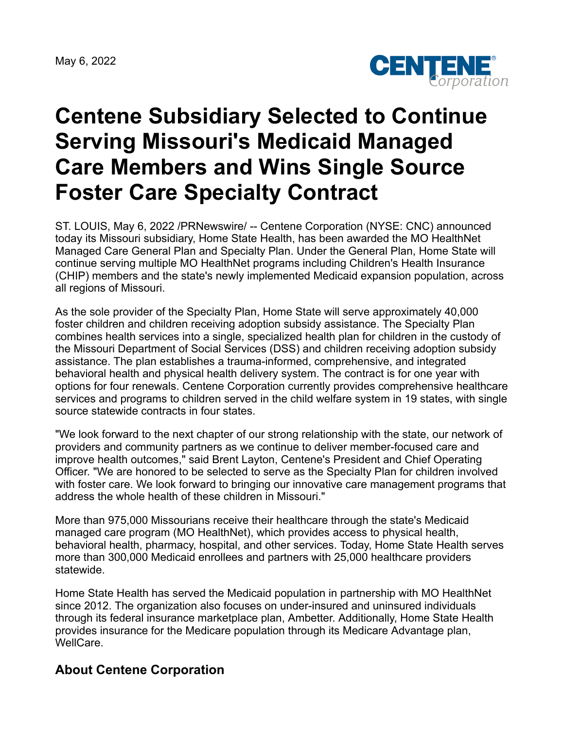May 6, 2022



## **Centene Subsidiary Selected to Continue Serving Missouri's Medicaid Managed Care Members and Wins Single Source Foster Care Specialty Contract**

ST. LOUIS, May 6, 2022 /PRNewswire/ -- Centene Corporation (NYSE: CNC) announced today its Missouri subsidiary, Home State Health, has been awarded the MO HealthNet Managed Care General Plan and Specialty Plan. Under the General Plan, Home State will continue serving multiple MO HealthNet programs including Children's Health Insurance (CHIP) members and the state's newly implemented Medicaid expansion population, across all regions of Missouri.

As the sole provider of the Specialty Plan, Home State will serve approximately 40,000 foster children and children receiving adoption subsidy assistance. The Specialty Plan combines health services into a single, specialized health plan for children in the custody of the Missouri Department of Social Services (DSS) and children receiving adoption subsidy assistance. The plan establishes a trauma-informed, comprehensive, and integrated behavioral health and physical health delivery system. The contract is for one year with options for four renewals. Centene Corporation currently provides comprehensive healthcare services and programs to children served in the child welfare system in 19 states, with single source statewide contracts in four states.

"We look forward to the next chapter of our strong relationship with the state, our network of providers and community partners as we continue to deliver member-focused care and improve health outcomes," said Brent Layton, Centene's President and Chief Operating Officer. "We are honored to be selected to serve as the Specialty Plan for children involved with foster care. We look forward to bringing our innovative care management programs that address the whole health of these children in Missouri."

More than 975,000 Missourians receive their healthcare through the state's Medicaid managed care program (MO HealthNet), which provides access to physical health, behavioral health, pharmacy, hospital, and other services. Today, Home State Health serves more than 300,000 Medicaid enrollees and partners with 25,000 healthcare providers statewide.

Home State Health has served the Medicaid population in partnership with MO HealthNet since 2012. The organization also focuses on under-insured and uninsured individuals through its federal insurance marketplace plan, Ambetter. Additionally, Home State Health provides insurance for the Medicare population through its Medicare Advantage plan, WellCare.

## **About Centene Corporation**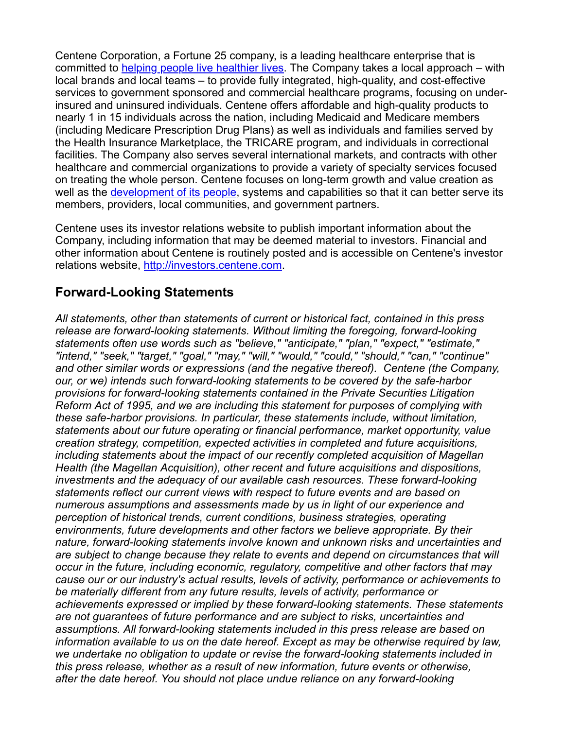Centene Corporation, a Fortune 25 company, is a leading healthcare enterprise that is committed to [helping people live healthier lives](https://urldefense.com/v3/__https:/www.youtube.com/user/CenteneCorp__;!!Js732Vmb!4K62SFNNVkkJTmGjXi5yYxFS_P41WUBjaIyvMTuSe5oK5E_MYPLl1YxuNP1yYeU%24). The Company takes a local approach – with local brands and local teams – to provide fully integrated, high-quality, and cost-effective services to government sponsored and commercial healthcare programs, focusing on underinsured and uninsured individuals. Centene offers affordable and high-quality products to nearly 1 in 15 individuals across the nation, including Medicaid and Medicare members (including Medicare Prescription Drug Plans) as well as individuals and families served by the Health Insurance Marketplace, the TRICARE program, and individuals in correctional facilities. The Company also serves several international markets, and contracts with other healthcare and commercial organizations to provide a variety of specialty services focused on treating the whole person. Centene focuses on long-term growth and value creation as well as the [development of its people](https://jobs.centene.com/us/en), systems and capabilities so that it can better serve its members, providers, local communities, and government partners.

Centene uses its investor relations website to publish important information about the Company, including information that may be deemed material to investors. Financial and other information about Centene is routinely posted and is accessible on Centene's investor relations website, [http://investors.centene.com](http://investors.centene.com/).

## **Forward-Looking Statements**

*All statements, other than statements of current or historical fact, contained in this press release are forward-looking statements. Without limiting the foregoing, forward-looking statements often use words such as "believe," "anticipate," "plan," "expect," "estimate," "intend," "seek," "target," "goal," "may," "will," "would," "could," "should," "can," "continue" and other similar words or expressions (and the negative thereof). Centene (the Company, our, or we) intends such forward-looking statements to be covered by the safe-harbor provisions for forward-looking statements contained in the Private Securities Litigation Reform Act of 1995, and we are including this statement for purposes of complying with these safe-harbor provisions. In particular, these statements include, without limitation, statements about our future operating or financial performance, market opportunity, value creation strategy, competition, expected activities in completed and future acquisitions, including statements about the impact of our recently completed acquisition of Magellan Health (the Magellan Acquisition), other recent and future acquisitions and dispositions, investments and the adequacy of our available cash resources. These forward-looking statements reflect our current views with respect to future events and are based on numerous assumptions and assessments made by us in light of our experience and perception of historical trends, current conditions, business strategies, operating environments, future developments and other factors we believe appropriate. By their nature, forward-looking statements involve known and unknown risks and uncertainties and are subject to change because they relate to events and depend on circumstances that will occur in the future, including economic, regulatory, competitive and other factors that may cause our or our industry's actual results, levels of activity, performance or achievements to be materially different from any future results, levels of activity, performance or achievements expressed or implied by these forward-looking statements. These statements are not guarantees of future performance and are subject to risks, uncertainties and assumptions. All forward-looking statements included in this press release are based on information available to us on the date hereof. Except as may be otherwise required by law, we undertake no obligation to update or revise the forward-looking statements included in this press release, whether as a result of new information, future events or otherwise, after the date hereof. You should not place undue reliance on any forward-looking*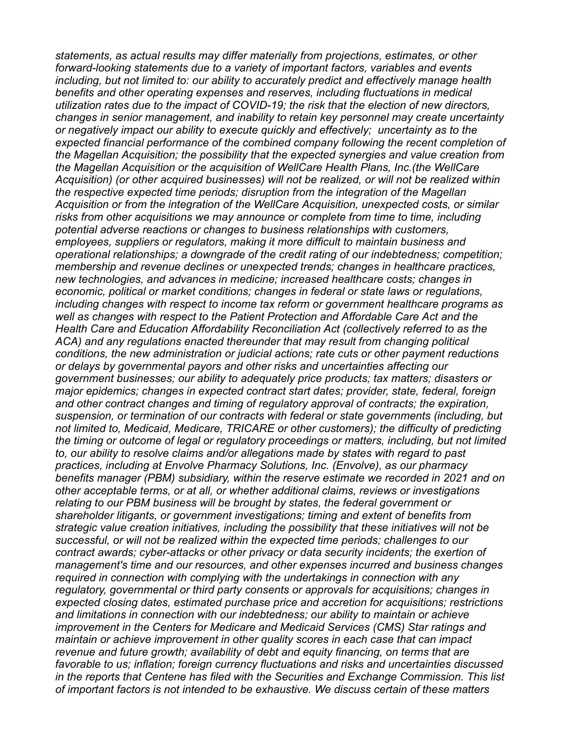*statements, as actual results may differ materially from projections, estimates, or other forward-looking statements due to a variety of important factors, variables and events including, but not limited to: our ability to accurately predict and effectively manage health benefits and other operating expenses and reserves, including fluctuations in medical utilization rates due to the impact of COVID-19; the risk that the election of new directors, changes in senior management, and inability to retain key personnel may create uncertainty or negatively impact our ability to execute quickly and effectively; uncertainty as to the expected financial performance of the combined company following the recent completion of the Magellan Acquisition; the possibility that the expected synergies and value creation from the Magellan Acquisition or the acquisition of WellCare Health Plans, Inc.(the WellCare Acquisition) (or other acquired businesses) will not be realized, or will not be realized within the respective expected time periods; disruption from the integration of the Magellan Acquisition or from the integration of the WellCare Acquisition, unexpected costs, or similar risks from other acquisitions we may announce or complete from time to time, including potential adverse reactions or changes to business relationships with customers, employees, suppliers or regulators, making it more difficult to maintain business and operational relationships; a downgrade of the credit rating of our indebtedness; competition; membership and revenue declines or unexpected trends; changes in healthcare practices, new technologies, and advances in medicine; increased healthcare costs; changes in economic, political or market conditions; changes in federal or state laws or regulations, including changes with respect to income tax reform or government healthcare programs as well as changes with respect to the Patient Protection and Affordable Care Act and the Health Care and Education Affordability Reconciliation Act (collectively referred to as the ACA) and any regulations enacted thereunder that may result from changing political conditions, the new administration or judicial actions; rate cuts or other payment reductions or delays by governmental payors and other risks and uncertainties affecting our government businesses; our ability to adequately price products; tax matters; disasters or major epidemics; changes in expected contract start dates; provider, state, federal, foreign and other contract changes and timing of regulatory approval of contracts; the expiration, suspension, or termination of our contracts with federal or state governments (including, but not limited to, Medicaid, Medicare, TRICARE or other customers); the difficulty of predicting the timing or outcome of legal or regulatory proceedings or matters, including, but not limited to, our ability to resolve claims and/or allegations made by states with regard to past practices, including at Envolve Pharmacy Solutions, Inc. (Envolve), as our pharmacy benefits manager (PBM) subsidiary, within the reserve estimate we recorded in 2021 and on other acceptable terms, or at all, or whether additional claims, reviews or investigations relating to our PBM business will be brought by states, the federal government or shareholder litigants, or government investigations; timing and extent of benefits from strategic value creation initiatives, including the possibility that these initiatives will not be successful, or will not be realized within the expected time periods; challenges to our contract awards; cyber-attacks or other privacy or data security incidents; the exertion of management's time and our resources, and other expenses incurred and business changes required in connection with complying with the undertakings in connection with any regulatory, governmental or third party consents or approvals for acquisitions; changes in expected closing dates, estimated purchase price and accretion for acquisitions; restrictions and limitations in connection with our indebtedness; our ability to maintain or achieve improvement in the Centers for Medicare and Medicaid Services (CMS) Star ratings and maintain or achieve improvement in other quality scores in each case that can impact revenue and future growth; availability of debt and equity financing, on terms that are favorable to us; inflation; foreign currency fluctuations and risks and uncertainties discussed in the reports that Centene has filed with the Securities and Exchange Commission. This list of important factors is not intended to be exhaustive. We discuss certain of these matters*